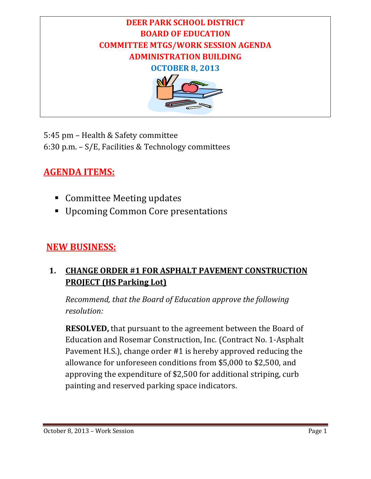

5:45 pm - Health & Safety committee 6:30 p.m.  $- S/E$ , Facilities & Technology committees

# **AGENDA ITEMS:**

- **Committee Meeting updates**
- **Upcoming Common Core presentations**

## **NEW BUSINESS:**

## **1. CHANGE ORDER #1 FOR ASPHALT PAVEMENT CONSTRUCTION PROJECT (HS Parking Lot)**

*Recommend, that the Board of Education approve the following resolution:*

**RESOLVED,** that pursuant to the agreement between the Board of Education and Rosemar Construction, Inc. (Contract No. 1-Asphalt Pavement H.S.), change order #1 is hereby approved reducing the allowance for unforeseen conditions from \$5,000 to \$2,500, and approving the expenditure of \$2,500 for additional striping, curb painting and reserved parking space indicators.